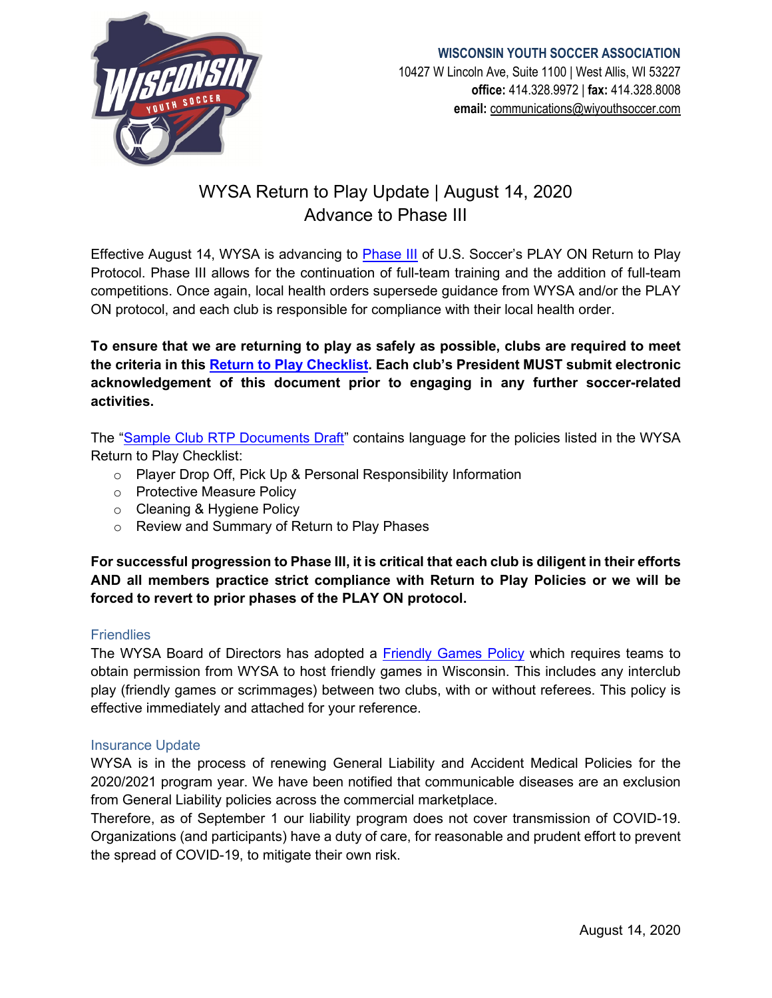

10427 W Lincoln Ave, Suite 1100 | West Allis, WI 53227 **office:** 414.328.9972 | **fax:** 414.328.8008 **email:** [communications@wiyouthsoccer.com](mailto:communications@wiyouthsoccer.com)

# WYSA Return to Play Update | August 14, 2020 Advance to Phase III

Effective August 14, WYSA is advancing to [Phase III](https://www.ussoccer.com/playon/guides/phase-3-grassroots) of U.S. Soccer's PLAY ON Return to Play Protocol. Phase III allows for the continuation of full-team training and the addition of full-team competitions. Once again, local health orders supersede guidance from WYSA and/or the PLAY ON protocol, and each club is responsible for compliance with their local health order.

**To ensure that we are returning to play as safely as possible, clubs are required to meet the criteria in this [Return to Play Checklist.](https://www.wiyouthsoccer.com/assets/75/6/Return_to_Play_Checklist__Requirements.pdf) Each club's President MUST submit electronic acknowledgement of this document prior to engaging in any further soccer-related activities.** 

The ["Sample Club RTP Documents Draft"](https://www.wiyouthsoccer.com/assets/75/6/Sample_Club_RTP_Document_Drafts.docx) contains language for the policies listed in the WYSA Return to Play Checklist:

- o Player Drop Off, Pick Up & Personal Responsibility Information
- o Protective Measure Policy
- o Cleaning & Hygiene Policy
- o Review and Summary of Return to Play Phases

**For successful progression to Phase III, it is critical that each club is diligent in their efforts AND all members practice strict compliance with Return to Play Policies or we will be forced to revert to prior phases of the PLAY ON protocol.** 

## **Friendlies**

The WYSA Board of Directors has adopted a [Friendly Games Policy](https://www.wiyouthsoccer.com/assets/75/6/Friendly_Games_Policy_APPROVED.pdf) which requires teams to obtain permission from WYSA to host friendly games in Wisconsin. This includes any interclub play (friendly games or scrimmages) between two clubs, with or without referees. This policy is effective immediately and attached for your reference.

#### Insurance Update

WYSA is in the process of renewing General Liability and Accident Medical Policies for the 2020/2021 program year. We have been notified that communicable diseases are an exclusion from General Liability policies across the commercial marketplace.

Therefore, as of September 1 our liability program does not cover transmission of COVID-19. Organizations (and participants) have a duty of care, for reasonable and prudent effort to prevent the spread of COVID-19, to mitigate their own risk.